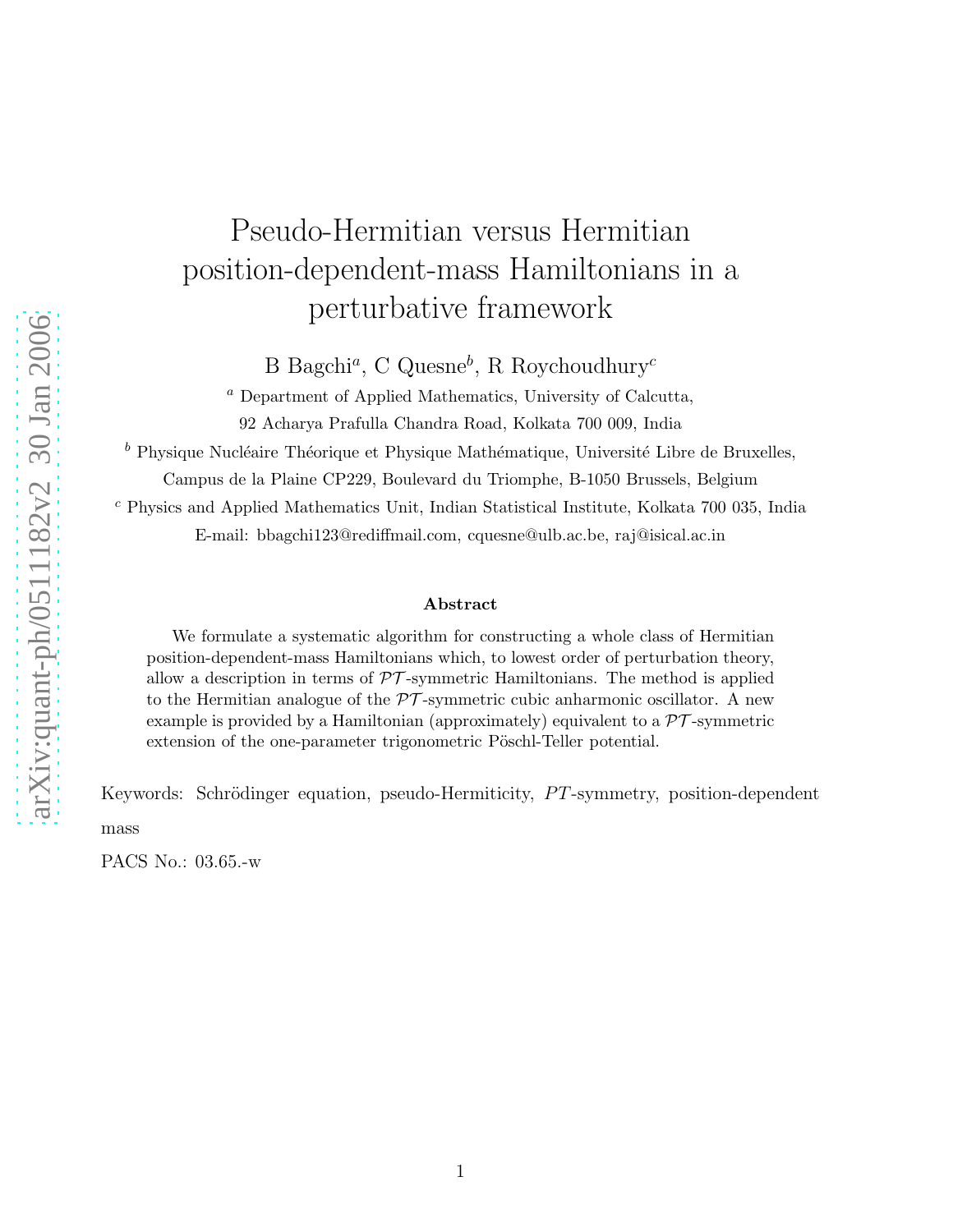## Pseudo-Hermitian versus Hermitian position-dependent-mass Hamiltonians in a perturbative framework

B Bagchi<sup>a</sup>, C Quesne<sup>b</sup>, R Roychoudhury<sup>c</sup>

<sup>a</sup> Department of Applied Mathematics, University of Calcutta, 92 Acharya Prafulla Chandra Road, Kolkata 700 009, India

 $<sup>b</sup>$  Physique Nucléaire Théorique et Physique Mathématique, Université Libre de Bruxelles,</sup>

Campus de la Plaine CP229, Boulevard du Triomphe, B-1050 Brussels, Belgium

<sup>c</sup> Physics and Applied Mathematics Unit, Indian Statistical Institute, Kolkata 700 035, India

E-mail: bbagchi123@rediffmail.com, cquesne@ulb.ac.be, raj@isical.ac.in

## Abstract

We formulate a systematic algorithm for constructing a whole class of Hermitian position-dependent-mass Hamiltonians which, to lowest order of perturbation theory, allow a description in terms of  $\mathcal{PT}$ -symmetric Hamiltonians. The method is applied to the Hermitian analogue of the  $\mathcal{PT}$ -symmetric cubic anharmonic oscillator. A new example is provided by a Hamiltonian (approximately) equivalent to a  $\mathcal{PT}$ -symmetric extension of the one-parameter trigonometric Pöschl-Teller potential.

Keywords: Schrödinger equation, pseudo-Hermiticity, PT-symmetry, position-dependent

mass

PACS No.: 03.65.-w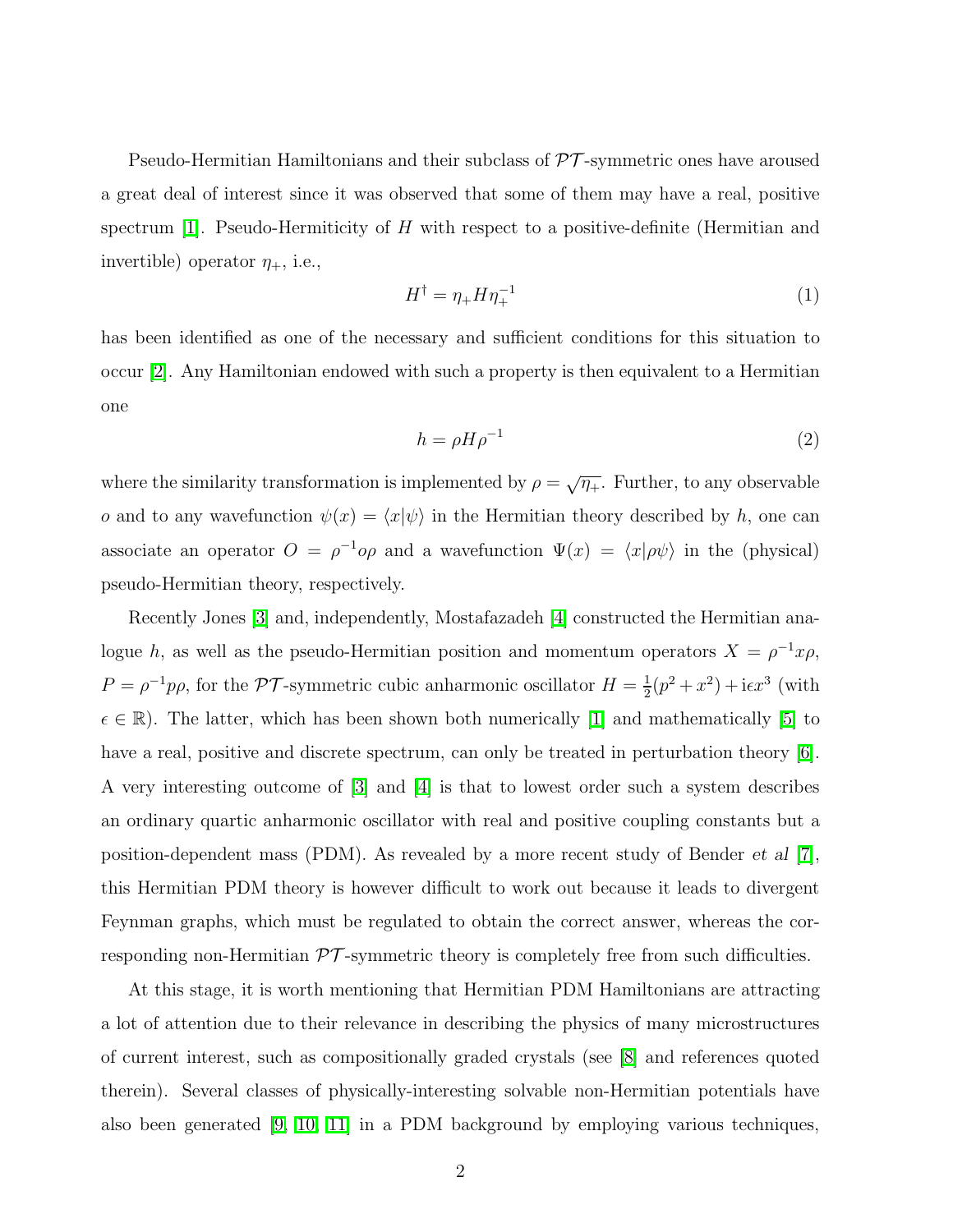Pseudo-Hermitian Hamiltonians and their subclass of  $\mathcal{PT}$ -symmetric ones have aroused a great deal of interest since it was observed that some of them may have a real, positive spectrum  $[1]$ . Pseudo-Hermiticity of H with respect to a positive-definite (Hermitian and invertible) operator  $\eta_+$ , i.e.,

<span id="page-1-0"></span>
$$
H^{\dagger} = \eta_+ H \eta_+^{-1} \tag{1}
$$

has been identified as one of the necessary and sufficient conditions for this situation to occur [\[2\]](#page-11-1). Any Hamiltonian endowed with such a property is then equivalent to a Hermitian one

<span id="page-1-1"></span>
$$
h = \rho H \rho^{-1} \tag{2}
$$

where the similarity transformation is implemented by  $\rho = \sqrt{\eta_+}$ . Further, to any observable o and to any wavefunction  $\psi(x) = \langle x|\psi\rangle$  in the Hermitian theory described by h, one can associate an operator  $O = \rho^{-1} \rho \rho$  and a wavefunction  $\Psi(x) = \langle x | \rho \psi \rangle$  in the (physical) pseudo-Hermitian theory, respectively.

Recently Jones [\[3\]](#page-11-2) and, independently, Mostafazadeh [\[4\]](#page-11-3) constructed the Hermitian analogue h, as well as the pseudo-Hermitian position and momentum operators  $X = \rho^{-1}x\rho$ ,  $P = \rho^{-1} p \rho$ , for the  $\mathcal{PT}$ -symmetric cubic anharmonic oscillator  $H = \frac{1}{2}$  $\frac{1}{2}(p^2+x^2)+i\epsilon x^3$  (with  $\epsilon \in \mathbb{R}$ . The latter, which has been shown both numerically [\[1\]](#page-11-0) and mathematically [\[5\]](#page-11-4) to have a real, positive and discrete spectrum, can only be treated in perturbation theory [\[6\]](#page-11-5). A very interesting outcome of [\[3\]](#page-11-2) and [\[4\]](#page-11-3) is that to lowest order such a system describes an ordinary quartic anharmonic oscillator with real and positive coupling constants but a position-dependent mass (PDM). As revealed by a more recent study of Bender *et al* [\[7\]](#page-11-6), this Hermitian PDM theory is however difficult to work out because it leads to divergent Feynman graphs, which must be regulated to obtain the correct answer, whereas the corresponding non-Hermitian  $\mathcal{PT}$ -symmetric theory is completely free from such difficulties.

At this stage, it is worth mentioning that Hermitian PDM Hamiltonians are attracting a lot of attention due to their relevance in describing the physics of many microstructures of current interest, such as compositionally graded crystals (see [\[8\]](#page-11-7) and references quoted therein). Several classes of physically-interesting solvable non-Hermitian potentials have also been generated [\[9,](#page-11-8) [10,](#page-11-9) [11\]](#page-11-10) in a PDM background by employing various techniques,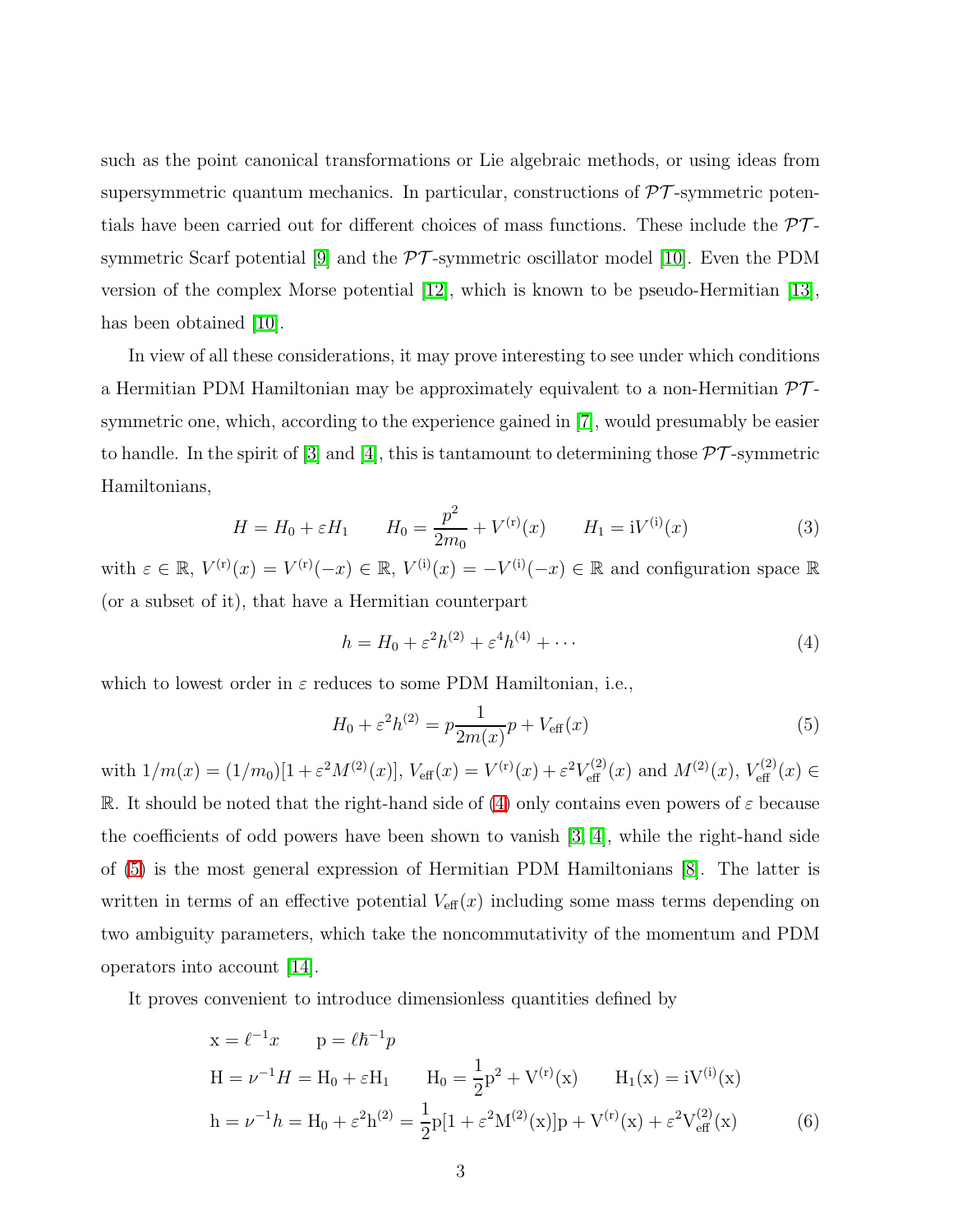such as the point canonical transformations or Lie algebraic methods, or using ideas from supersymmetric quantum mechanics. In particular, constructions of  $\mathcal{PT}$ -symmetric potentials have been carried out for different choices of mass functions. These include the  $\mathcal{PT}$ -symmetric Scarf potential [\[9\]](#page-11-8) and the  $\mathcal{PT}$ -symmetric oscillator model [\[10\]](#page-11-9). Even the PDM version of the complex Morse potential [\[12\]](#page-11-11), which is known to be pseudo-Hermitian [\[13\]](#page-11-12), has been obtained [\[10\]](#page-11-9).

In view of all these considerations, it may prove interesting to see under which conditions a Hermitian PDM Hamiltonian may be approximately equivalent to a non-Hermitian  $\mathcal{PT}$ symmetric one, which, according to the experience gained in [\[7\]](#page-11-6), would presumably be easier to handle. In the spirit of [\[3\]](#page-11-2) and [\[4\]](#page-11-3), this is tantamount to determining those  $\mathcal{PT}$ -symmetric Hamiltonians,

<span id="page-2-0"></span>
$$
H = H_0 + \varepsilon H_1 \qquad H_0 = \frac{p^2}{2m_0} + V^{(r)}(x) \qquad H_1 = iV^{(i)}(x) \tag{3}
$$

<span id="page-2-2"></span>with  $\varepsilon \in \mathbb{R}$ ,  $V^{(r)}(x) = V^{(r)}(-x) \in \mathbb{R}$ ,  $V^{(i)}(x) = -V^{(i)}(-x) \in \mathbb{R}$  and configuration space  $\mathbb{R}$ (or a subset of it), that have a Hermitian counterpart

$$
h = H_0 + \varepsilon^2 h^{(2)} + \varepsilon^4 h^{(4)} + \cdots
$$
 (4)

which to lowest order in  $\varepsilon$  reduces to some PDM Hamiltonian, i.e.,

<span id="page-2-1"></span>
$$
H_0 + \varepsilon^2 h^{(2)} = p \frac{1}{2m(x)} p + V_{\text{eff}}(x)
$$
 (5)

with  $1/m(x) = (1/m_0)[1 + \varepsilon^2 M^{(2)}(x)], V_{\text{eff}}(x) = V^{(r)}(x) + \varepsilon^2 V_{\text{eff}}^{(2)}(x)$  and  $M^{(2)}(x), V_{\text{eff}}^{(2)}(x) \in$ R. It should be noted that the right-hand side of [\(4\)](#page-2-0) only contains even powers of  $\varepsilon$  because the coefficients of odd powers have been shown to vanish [\[3,](#page-11-2) [4\]](#page-11-3), while the right-hand side of [\(5\)](#page-2-1) is the most general expression of Hermitian PDM Hamiltonians [\[8\]](#page-11-7). The latter is written in terms of an effective potential  $V_{\text{eff}}(x)$  including some mass terms depending on two ambiguity parameters, which take the noncommutativity of the momentum and PDM operators into account [\[14\]](#page-11-13).

It proves convenient to introduce dimensionless quantities defined by

$$
x = \ell^{-1}x \t p = \ell \hbar^{-1}p
$$
  
\n
$$
H = \nu^{-1}H = H_0 + \varepsilon H_1 \t H_0 = \frac{1}{2}p^2 + V^{(r)}(x) \t H_1(x) = iV^{(i)}(x)
$$
  
\n
$$
h = \nu^{-1}h = H_0 + \varepsilon^2 h^{(2)} = \frac{1}{2}p[1 + \varepsilon^2 M^{(2)}(x)]p + V^{(r)}(x) + \varepsilon^2 V_{\text{eff}}^{(2)}(x)
$$
(6)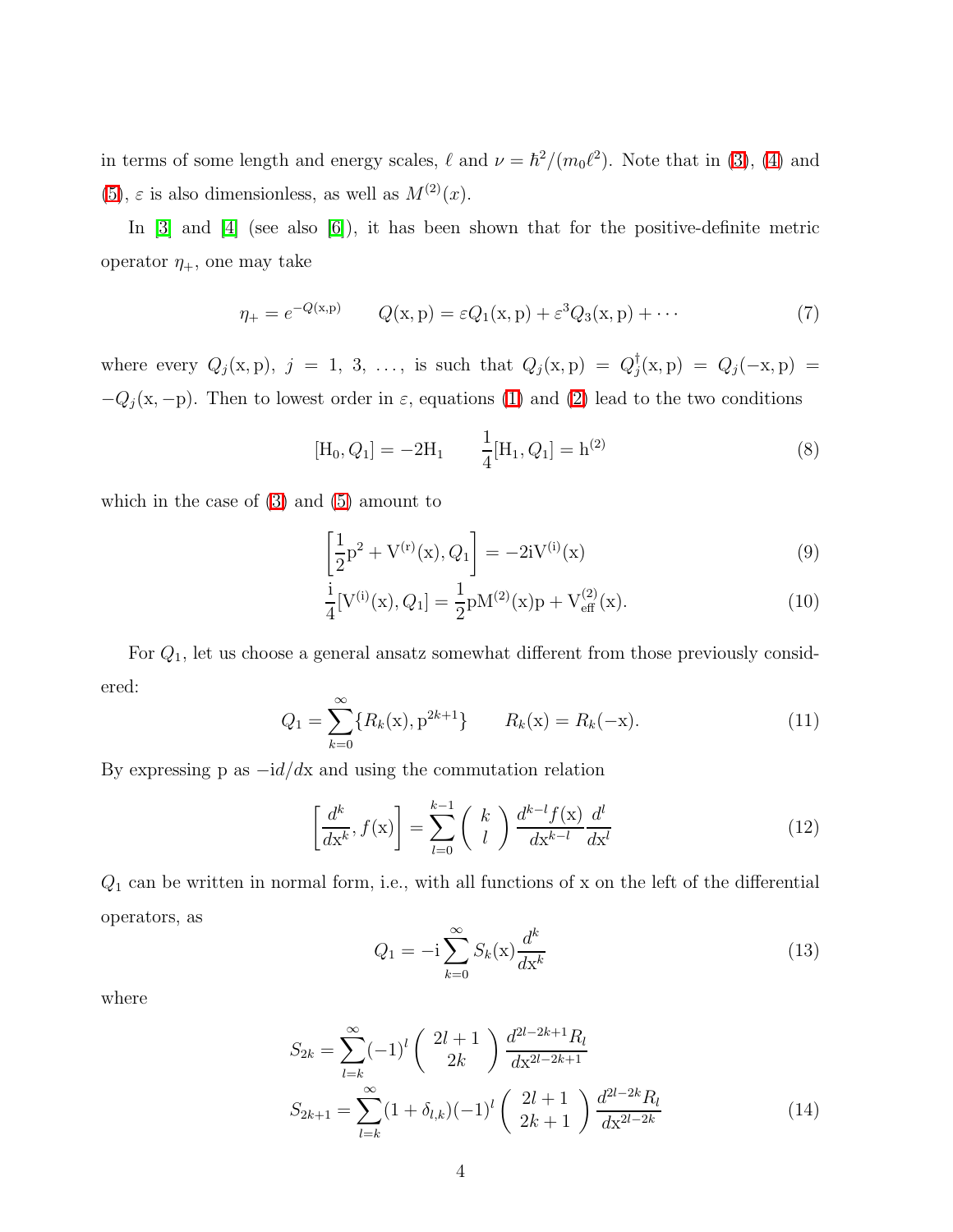in terms of some length and energy scales,  $\ell$  and  $\nu = \hbar^2/(m_0 \ell^2)$ . Note that in [\(3\)](#page-2-2), [\(4\)](#page-2-0) and [\(5\)](#page-2-1),  $\varepsilon$  is also dimensionless, as well as  $M^{(2)}(x)$ .

In [\[3\]](#page-11-2) and [\[4\]](#page-11-3) (see also [\[6\]](#page-11-5)), it has been shown that for the positive-definite metric operator  $\eta_+$ , one may take

$$
\eta_{+} = e^{-Q(x, p)} \qquad Q(x, p) = \varepsilon Q_1(x, p) + \varepsilon^3 Q_3(x, p) + \cdots \tag{7}
$$

where every  $Q_j(x, p)$ ,  $j = 1, 3, \ldots$ , is such that  $Q_j(x, p) = Q_j^{\dagger}$  $Q_j(x, p) = Q_j(-x, p) =$  $-Q_j(x, -p)$ . Then to lowest order in  $\varepsilon$ , equations [\(1\)](#page-1-0) and [\(2\)](#page-1-1) lead to the two conditions

$$
[\mathbf{H}_0, Q_1] = -2\mathbf{H}_1 \qquad \frac{1}{4} [\mathbf{H}_1, Q_1] = \mathbf{h}^{(2)} \tag{8}
$$

<span id="page-3-1"></span>which in the case of [\(3\)](#page-2-2) and [\(5\)](#page-2-1) amount to

$$
\left[\frac{1}{2}p^{2} + V^{(r)}(x), Q_{1}\right] = -2iV^{(i)}(x)
$$
\n(9)

$$
\frac{i}{4}[V^{(i)}(x), Q_1] = \frac{1}{2}pM^{(2)}(x)p + V_{\text{eff}}^{(2)}(x).
$$
\n(10)

<span id="page-3-3"></span>For Q1, let us choose a general ansatz somewhat different from those previously considered:

$$
Q_1 = \sum_{k=0}^{\infty} \{ R_k(\mathbf{x}), \mathbf{p}^{2k+1} \} \qquad R_k(\mathbf{x}) = R_k(-\mathbf{x}). \tag{11}
$$

<span id="page-3-2"></span>By expressing p as  $-i d/dx$  and using the commutation relation

<span id="page-3-0"></span>
$$
\left[\frac{d^k}{dx^k}, f(\mathbf{x})\right] = \sum_{l=0}^{k-1} \binom{k}{l} \frac{d^{k-l} f(\mathbf{x})}{dx^{k-l}} \frac{d^l}{dx^l} \tag{12}
$$

 $Q_1$  can be written in normal form, i.e., with all functions of x on the left of the differential operators, as

$$
Q_1 = -\mathrm{i} \sum_{k=0}^{\infty} S_k(\mathbf{x}) \frac{d^k}{d\mathbf{x}^k} \tag{13}
$$

<span id="page-3-4"></span>where

$$
S_{2k} = \sum_{l=k}^{\infty} (-1)^l \binom{2l+1}{2k} \frac{d^{2l-2k+1} R_l}{dx^{2l-2k+1}}
$$
  
\n
$$
S_{2k+1} = \sum_{l=k}^{\infty} (1 + \delta_{l,k})(-1)^l \binom{2l+1}{2k+1} \frac{d^{2l-2k} R_l}{dx^{2l-2k}}
$$
(14)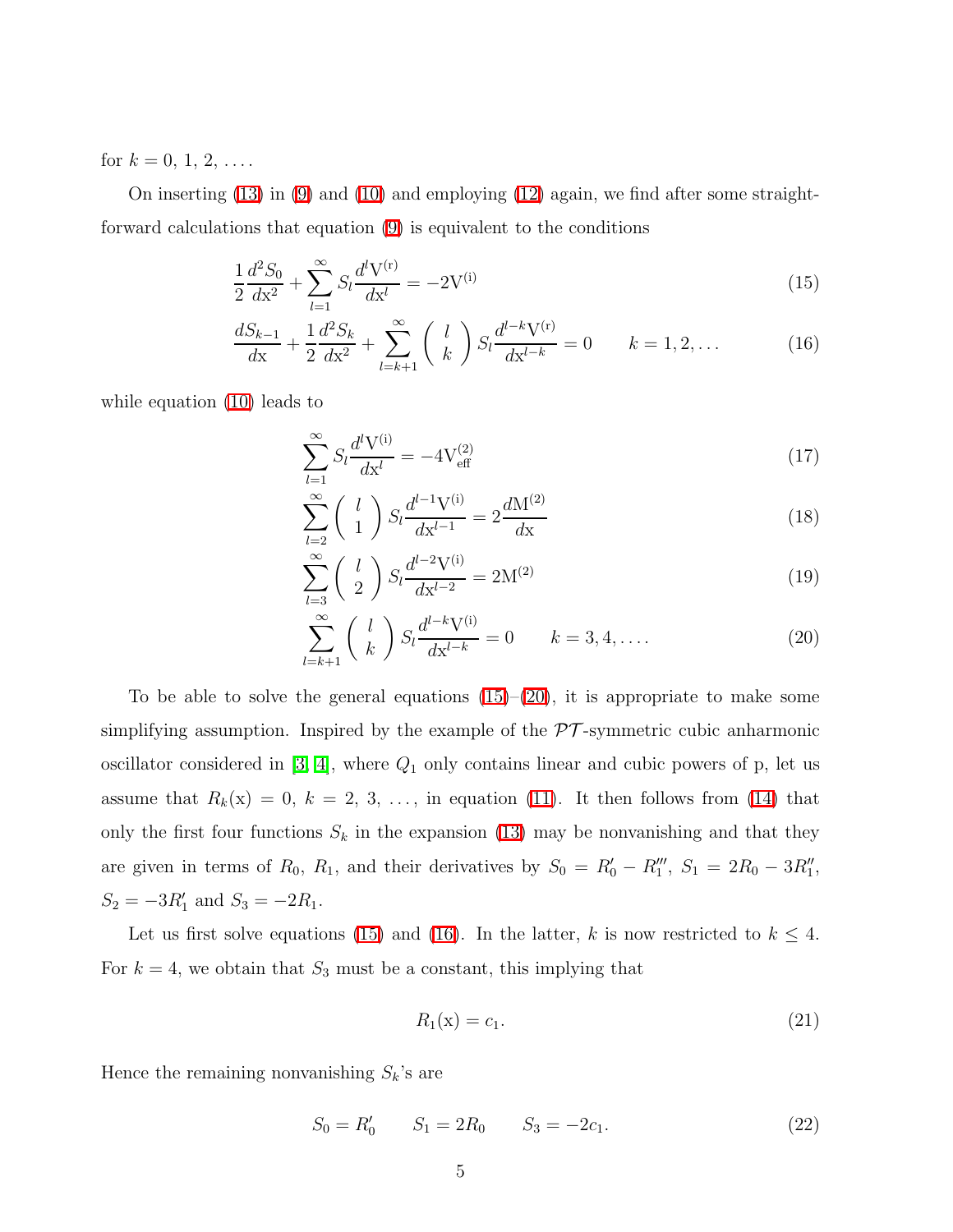for  $k = 0, 1, 2, \ldots$ .

<span id="page-4-0"></span>On inserting  $(13)$  in  $(9)$  and  $(10)$  and employing  $(12)$  again, we find after some straightforward calculations that equation [\(9\)](#page-3-1) is equivalent to the conditions

$$
\frac{1}{2}\frac{d^2S_0}{dx^2} + \sum_{l=1}^{\infty} S_l \frac{d^l V^{(r)}}{dx^l} = -2V^{(i)}
$$
\n(15)

$$
\frac{dS_{k-1}}{dx} + \frac{1}{2}\frac{d^2S_k}{dx^2} + \sum_{l=k+1}^{\infty} \binom{l}{k} S_l \frac{d^{l-k}V^{(r)}}{dx^{l-k}} = 0 \qquad k = 1, 2, \dots \tag{16}
$$

<span id="page-4-1"></span>while equation [\(10\)](#page-3-1) leads to

$$
\sum_{l=1}^{\infty} S_l \frac{d^l V^{(i)}}{dx^l} = -4 V_{\text{eff}}^{(2)} \tag{17}
$$

$$
\sum_{l=2}^{\infty} \binom{l}{1} S_l \frac{d^{l-1} V^{(i)}}{d x^{l-1}} = 2 \frac{d M^{(2)}}{d x} \tag{18}
$$

$$
\sum_{l=3}^{\infty} \binom{l}{2} S_l \frac{d^{l-2} V^{(i)}}{d x^{l-2}} = 2 M^{(2)} \tag{19}
$$

$$
\sum_{l=k+1}^{\infty} \binom{l}{k} S_l \frac{d^{l-k} V^{(i)}}{d x^{l-k}} = 0 \qquad k = 3, 4, \dots \tag{20}
$$

To be able to solve the general equations  $(15)-(20)$  $(15)-(20)$ , it is appropriate to make some simplifying assumption. Inspired by the example of the  $\mathcal{PT}$ -symmetric cubic anharmonic oscillator considered in  $[3, 4]$  $[3, 4]$ , where  $Q_1$  only contains linear and cubic powers of p, let us assume that  $R_k(x) = 0, k = 2, 3, \ldots$ , in equation [\(11\)](#page-3-3). It then follows from [\(14\)](#page-3-4) that only the first four functions  $S_k$  in the expansion [\(13\)](#page-3-0) may be nonvanishing and that they are given in terms of  $R_0$ ,  $R_1$ , and their derivatives by  $S_0 = R'_0 - R''_1$ ,  $S_1 = 2R_0 - 3R''_1$ ,  $S_2 = -3R'_1$  and  $S_3 = -2R_1$ .

Let us first solve equations [\(15\)](#page-4-0) and [\(16\)](#page-4-0). In the latter, k is now restricted to  $k \leq 4$ . For  $k = 4$ , we obtain that  $S_3$  must be a constant, this implying that

$$
R_1(\mathbf{x}) = c_1. \tag{21}
$$

<span id="page-4-2"></span>Hence the remaining nonvanishing  $S_k$ 's are

$$
S_0 = R'_0 \t S_1 = 2R_0 \t S_3 = -2c_1. \t (22)
$$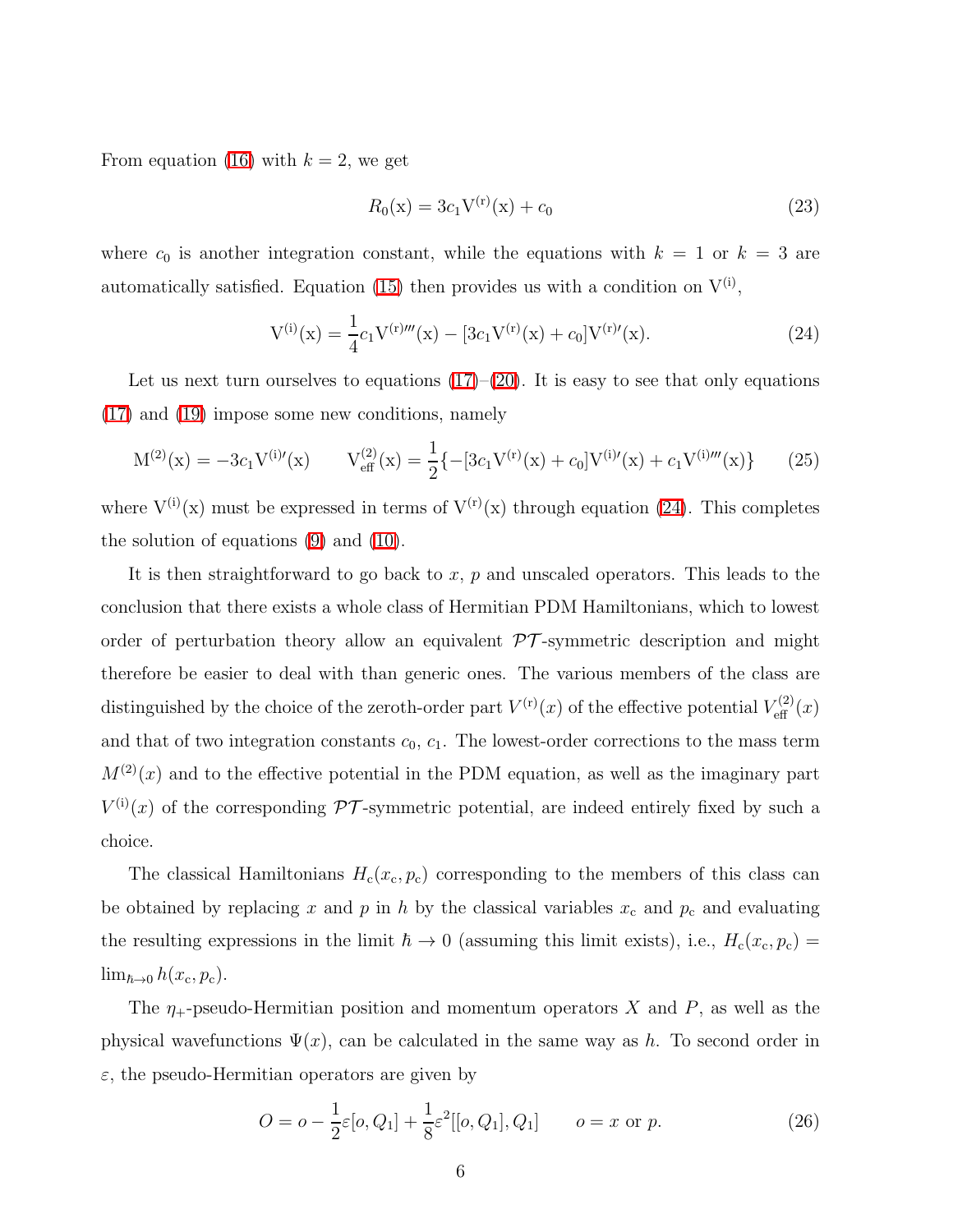From equation [\(16\)](#page-4-0) with  $k = 2$ , we get

<span id="page-5-1"></span>
$$
R_0(\mathbf{x}) = 3c_1 \mathbf{V}^{(\mathbf{r})}(\mathbf{x}) + c_0 \tag{23}
$$

<span id="page-5-0"></span>where  $c_0$  is another integration constant, while the equations with  $k = 1$  or  $k = 3$  are automatically satisfied. Equation [\(15\)](#page-4-0) then provides us with a condition on  $V^{(i)}$ ,

$$
V^{(i)}(x) = \frac{1}{4}c_1V^{(r)m}(x) - [3c_1V^{(r)}(x) + c_0]V^{(r)}(x).
$$
 (24)

<span id="page-5-3"></span>Let us next turn ourselves to equations  $(17)-(20)$  $(17)-(20)$ . It is easy to see that only equations [\(17\)](#page-4-1) and [\(19\)](#page-4-1) impose some new conditions, namely

$$
M^{(2)}(x) = -3c_1V^{(i)\prime}(x) \qquad V^{(2)}_{\text{eff}}(x) = \frac{1}{2}\{-[3c_1V^{(r)}(x) + c_0]V^{(i)\prime}(x) + c_1V^{(i)\prime\prime\prime}(x)\}\qquad(25)
$$

where  $V^{(i)}(x)$  must be expressed in terms of  $V^{(r)}(x)$  through equation [\(24\)](#page-5-0). This completes the solution of equations [\(9\)](#page-3-1) and [\(10\)](#page-3-1).

It is then straightforward to go back to x,  $p$  and unscaled operators. This leads to the conclusion that there exists a whole class of Hermitian PDM Hamiltonians, which to lowest order of perturbation theory allow an equivalent  $\mathcal{PT}$ -symmetric description and might therefore be easier to deal with than generic ones. The various members of the class are distinguished by the choice of the zeroth-order part  $V^{(r)}(x)$  of the effective potential  $V_{\text{eff}}^{(2)}(x)$ and that of two integration constants  $c_0$ ,  $c_1$ . The lowest-order corrections to the mass term  $M^{(2)}(x)$  and to the effective potential in the PDM equation, as well as the imaginary part  $V^{(i)}(x)$  of the corresponding  $\mathcal{PT}$ -symmetric potential, are indeed entirely fixed by such a choice.

The classical Hamiltonians  $H_c(x_c, p_c)$  corresponding to the members of this class can be obtained by replacing x and p in h by the classical variables  $x_c$  and  $p_c$  and evaluating the resulting expressions in the limit  $\hbar \to 0$  (assuming this limit exists), i.e.,  $H_c(x_c, p_c) =$  $\lim_{\hbar\to 0} h(x_c, p_c)$ .

<span id="page-5-2"></span>The  $\eta_+$ -pseudo-Hermitian position and momentum operators X and P, as well as the physical wavefunctions  $\Psi(x)$ , can be calculated in the same way as h. To second order in  $\varepsilon$ , the pseudo-Hermitian operators are given by

$$
O = o - \frac{1}{2}\varepsilon [o, Q_1] + \frac{1}{8}\varepsilon^2 [[o, Q_1], Q_1] \qquad o = x \text{ or } p. \tag{26}
$$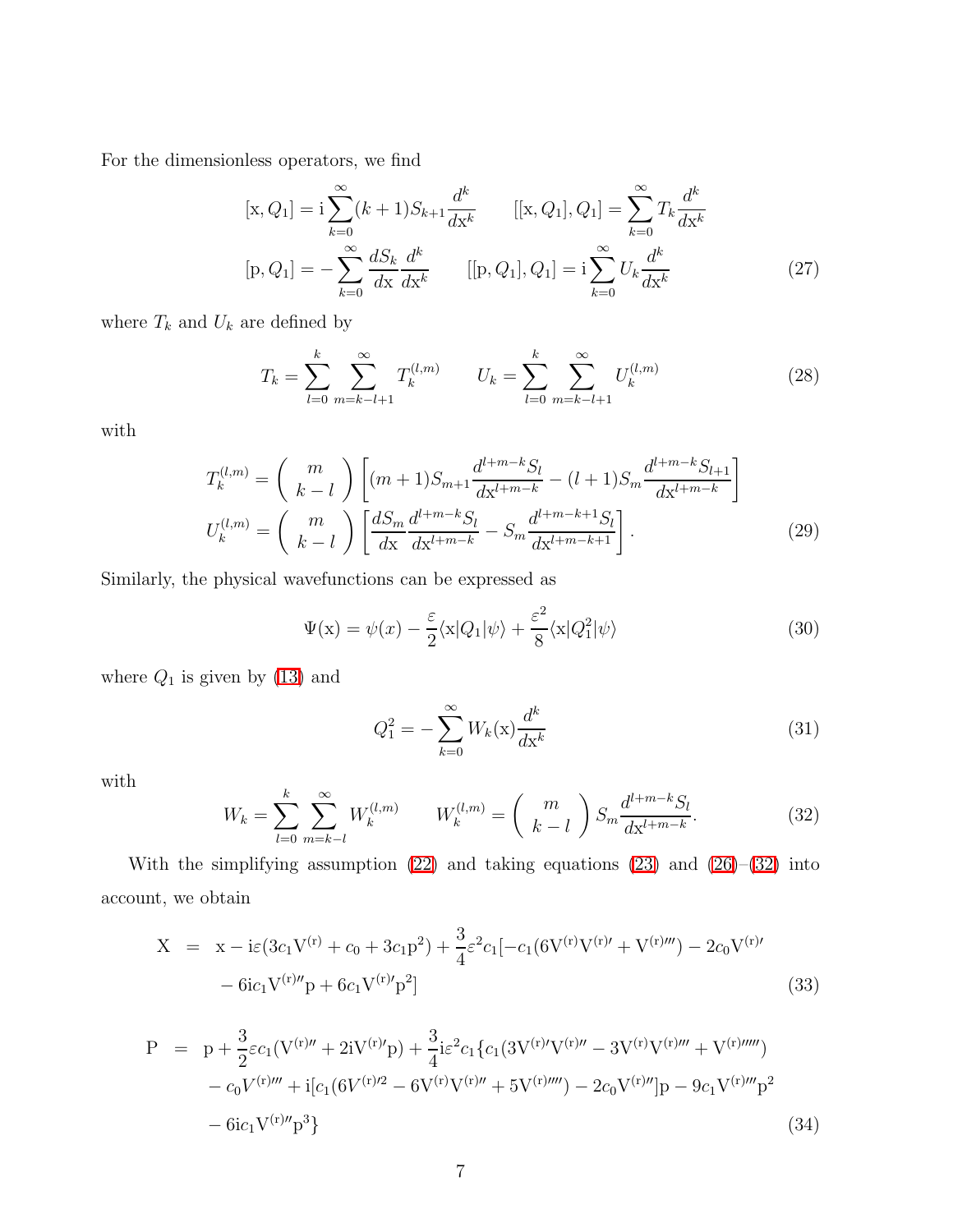For the dimensionless operators, we find

$$
[\mathbf{x}, Q_1] = \mathbf{i} \sum_{k=0}^{\infty} (k+1) S_{k+1} \frac{d^k}{dx^k} \qquad [[\mathbf{x}, Q_1], Q_1] = \sum_{k=0}^{\infty} T_k \frac{d^k}{dx^k}
$$

$$
[\mathbf{p}, Q_1] = -\sum_{k=0}^{\infty} \frac{d S_k}{dx} \frac{d^k}{dx^k} \qquad [[\mathbf{p}, Q_1], Q_1] = \mathbf{i} \sum_{k=0}^{\infty} U_k \frac{d^k}{dx^k}
$$
(27)

where  $\mathcal{T}_k$  and  $\mathcal{U}_k$  are defined by

$$
T_k = \sum_{l=0}^k \sum_{m=k-l+1}^{\infty} T_k^{(l,m)} \qquad U_k = \sum_{l=0}^k \sum_{m=k-l+1}^{\infty} U_k^{(l,m)} \tag{28}
$$

with

$$
T_k^{(l,m)} = {m \choose k-l} \left[ (m+1)S_{m+1} \frac{d^{l+m-k} S_l}{dx^{l+m-k}} - (l+1)S_m \frac{d^{l+m-k} S_{l+1}}{dx^{l+m-k}} \right]
$$

$$
U_k^{(l,m)} = {m \choose k-l} \left[ \frac{dS_m}{dx} \frac{d^{l+m-k} S_l}{dx^{l+m-k}} - S_m \frac{d^{l+m-k+1} S_l}{dx^{l+m-k+1}} \right].
$$
(29)

Similarly, the physical wavefunctions can be expressed as

$$
\Psi(\mathbf{x}) = \psi(x) - \frac{\varepsilon}{2} \langle \mathbf{x} | Q_1 | \psi \rangle + \frac{\varepsilon^2}{8} \langle \mathbf{x} | Q_1^2 | \psi \rangle \tag{30}
$$

where  $Q_1$  is given by  $(13)$  and

$$
Q_1^2 = -\sum_{k=0}^{\infty} W_k(\mathbf{x}) \frac{d^k}{d\mathbf{x}^k}
$$
 (31)

<span id="page-6-0"></span>with

$$
W_k = \sum_{l=0}^{k} \sum_{m=k-l}^{\infty} W_k^{(l,m)} \qquad W_k^{(l,m)} = \binom{m}{k-l} S_m \frac{d^{l+m-k} S_l}{dx^{l+m-k}}.
$$
 (32)

<span id="page-6-1"></span>With the simplifying assumption  $(22)$  and taking equations  $(23)$  and  $(26)$ – $(32)$  into account, we obtain

$$
X = x - i\varepsilon(3c_1V^{(r)} + c_0 + 3c_1P^2) + \frac{3}{4}\varepsilon^2c_1[-c_1(6V^{(r)}V^{(r)\'} + V^{(r)\''\'}) - 2c_0V^{(r)\'} - 6ic_1V^{(r)\''}p + 6c_1V^{(r)\'}p^2]
$$
\n(33)

<span id="page-6-2"></span>
$$
P = p + \frac{3}{2}\varepsilon c_1 (V^{(r)\prime\prime} + 2iV^{(r)\prime}p) + \frac{3}{4}i\varepsilon^2 c_1 \{c_1 (3V^{(r)\prime}V^{(r)\prime\prime} - 3V^{(r)}V^{(r)\prime\prime\prime} + V^{(r)\prime\prime\prime\prime})
$$
  

$$
- c_0 V^{(r)\prime\prime\prime} + i[c_1 (6V^{(r)\prime 2} - 6V^{(r)}V^{(r)\prime\prime} + 5V^{(r)\prime\prime\prime\prime}) - 2c_0 V^{(r)\prime\prime}]p - 9c_1 V^{(r)\prime\prime\prime}p^2
$$
  

$$
- 6ic_1 V^{(r)\prime\prime}p^3 \}
$$
 (34)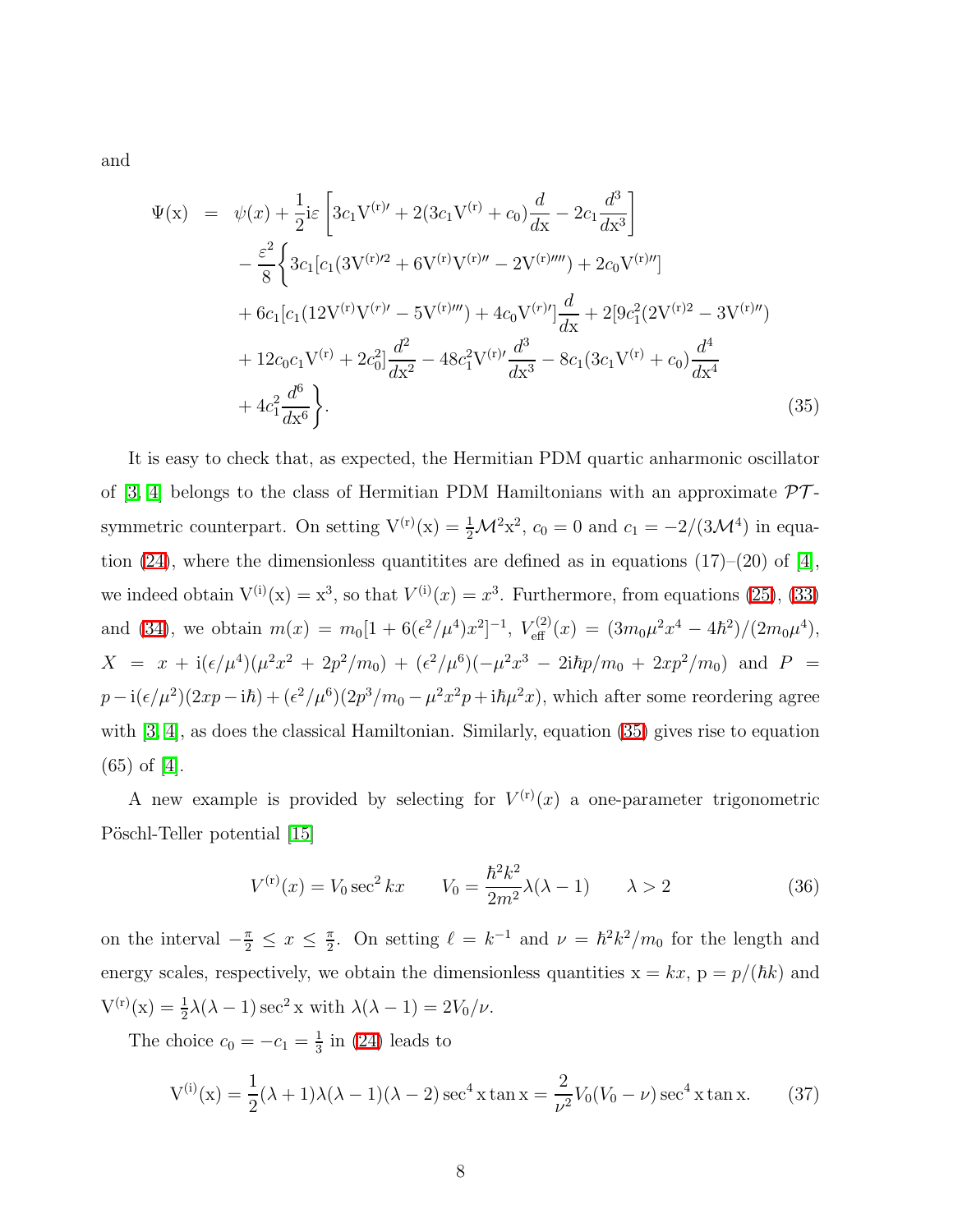<span id="page-7-0"></span>and

$$
\Psi(\mathbf{x}) = \psi(x) + \frac{1}{2} i \varepsilon \left[ 3c_1 V^{(\mathbf{r})'} + 2(3c_1 V^{(\mathbf{r})} + c_0) \frac{d}{d\mathbf{x}} - 2c_1 \frac{d^3}{d\mathbf{x}^3} \right] \n- \frac{\varepsilon^2}{8} \left\{ 3c_1 [c_1 (3V^{(\mathbf{r})/2} + 6V^{(\mathbf{r})} V^{(\mathbf{r})} - 2V^{(\mathbf{r})/'''}) + 2c_0 V^{(\mathbf{r})/''}] \n+ 6c_1 [c_1 (12V^{(\mathbf{r})} V^{(\mathbf{r})} - 5V^{(\mathbf{r})/'''}) + 4c_0 V^{(\mathbf{r})}] \frac{d}{d\mathbf{x}} + 2[9c_1^2 (2V^{(\mathbf{r})2} - 3V^{(\mathbf{r})/''}) \n+ 12c_0 c_1 V^{(\mathbf{r})} + 2c_0^2] \frac{d^2}{d\mathbf{x}^2} - 48c_1^2 V^{(\mathbf{r})'} \frac{d^3}{d\mathbf{x}^3} - 8c_1 (3c_1 V^{(\mathbf{r})} + c_0) \frac{d^4}{d\mathbf{x}^4} \n+ 4c_1^2 \frac{d^6}{d\mathbf{x}^6} \right\}.
$$
\n(35)

It is easy to check that, as expected, the Hermitian PDM quartic anharmonic oscillator of [\[3,](#page-11-2) [4\]](#page-11-3) belongs to the class of Hermitian PDM Hamiltonians with an approximate  $\mathcal{PT}$ symmetric counterpart. On setting  $V^{(r)}(x) = \frac{1}{2}M^2x^2$ ,  $c_0 = 0$  and  $c_1 = -2/(3M^4)$  in equa-tion [\(24\)](#page-5-0), where the dimensionless quantitities are defined as in equations (17)–(20) of [\[4\]](#page-11-3), we indeed obtain  $V^{(i)}(x) = x^3$ , so that  $V^{(i)}(x) = x^3$ . Furthermore, from equations [\(25\)](#page-5-3), [\(33\)](#page-6-1) and [\(34\)](#page-6-2), we obtain  $m(x) = m_0[1 + 6(\epsilon^2/\mu^4)x^2]^{-1}$ ,  $V_{\text{eff}}^{(2)}(x) = (3m_0\mu^2x^4 - 4\hbar^2)/(2m_0\mu^4)$ ,  $X = x + i(\epsilon/\mu^4)(\mu^2 x^2 + 2p^2/m_0) + (\epsilon^2/\mu^6)(-\mu^2 x^3 - 2i\hbar p/m_0 + 2xp^2/m_0)$  and  $P =$  $p - i(\epsilon/\mu^2)(2xp - i\hbar) + (\epsilon^2/\mu^6)(2p^3/m_0 - \mu^2x^2p + i\hbar\mu^2x)$ , which after some reordering agree with [\[3,](#page-11-2) [4\]](#page-11-3), as does the classical Hamiltonian. Similarly, equation [\(35\)](#page-7-0) gives rise to equation (65) of [\[4\]](#page-11-3).

<span id="page-7-1"></span>A new example is provided by selecting for  $V^{(r)}(x)$  a one-parameter trigonometric Pöschl-Teller potential [\[15\]](#page-11-14)

$$
V^{(r)}(x) = V_0 \sec^2 kx \qquad V_0 = \frac{\hbar^2 k^2}{2m^2} \lambda(\lambda - 1) \qquad \lambda > 2 \tag{36}
$$

on the interval  $-\frac{\pi}{2} \leq x \leq \frac{\pi}{2}$  $\frac{\pi}{2}$ . On setting  $\ell = k^{-1}$  and  $\nu = \hbar^2 k^2/m_0$  for the length and energy scales, respectively, we obtain the dimensionless quantities  $x = kx$ ,  $p = p/(\hbar k)$  and  $V^{(r)}(x) = \frac{1}{2}\lambda(\lambda - 1)\sec^2 x$  with  $\lambda(\lambda - 1) = 2V_0/\nu$ .

The choice  $c_0 = -c_1 = \frac{1}{3}$  $\frac{1}{3}$  in [\(24\)](#page-5-0) leads to

$$
V^{(i)}(x) = \frac{1}{2}(\lambda + 1)\lambda(\lambda - 1)(\lambda - 2)\sec^4 x \tan x = \frac{2}{\nu^2}V_0(V_0 - \nu)\sec^4 x \tan x.
$$
 (37)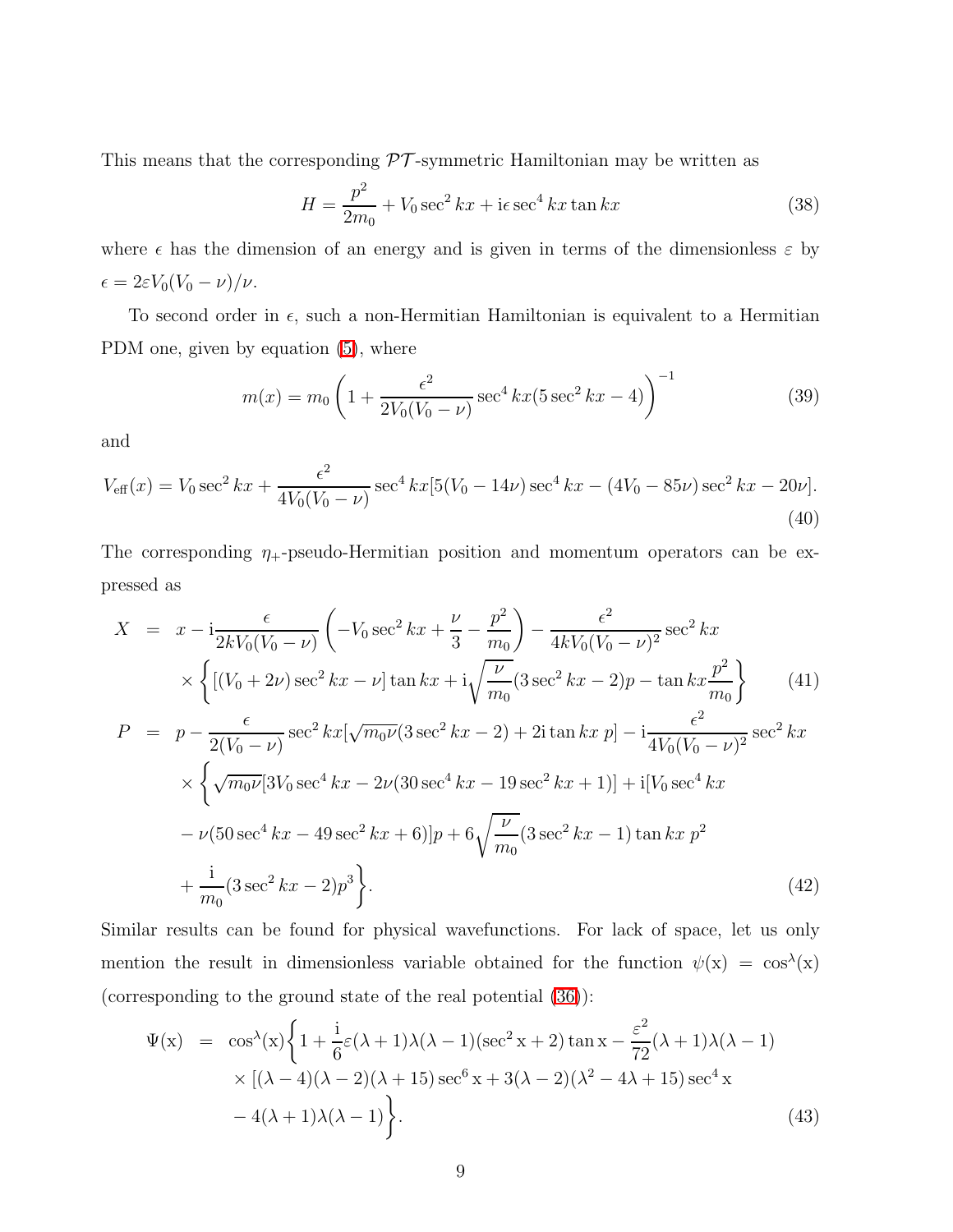<span id="page-8-0"></span>This means that the corresponding  $\mathcal{PT}$ -symmetric Hamiltonian may be written as

$$
H = \frac{p^2}{2m_0} + V_0 \sec^2 kx + i\epsilon \sec^4 kx \tan kx \tag{38}
$$

where  $\epsilon$  has the dimension of an energy and is given in terms of the dimensionless  $\epsilon$  by  $\epsilon = 2\varepsilon V_0(V_0 - \nu)/\nu.$ 

To second order in  $\epsilon$ , such a non-Hermitian Hamiltonian is equivalent to a Hermitian PDM one, given by equation [\(5\)](#page-2-1), where

$$
m(x) = m_0 \left( 1 + \frac{\epsilon^2}{2V_0(V_0 - \nu)} \sec^4 kx (5 \sec^2 kx - 4) \right)^{-1}
$$
 (39)

and

$$
V_{\text{eff}}(x) = V_0 \sec^2 kx + \frac{\epsilon^2}{4V_0(V_0 - \nu)} \sec^4 kx [5(V_0 - 14\nu) \sec^4 kx - (4V_0 - 85\nu) \sec^2 kx - 20\nu].
$$
\n(40)

The corresponding  $\eta_+$ -pseudo-Hermitian position and momentum operators can be expressed as

$$
X = x - i \frac{\epsilon}{2kV_0(V_0 - \nu)} \left( -V_0 \sec^2 kx + \frac{\nu}{3} - \frac{p^2}{m_0} \right) - \frac{\epsilon^2}{4kV_0(V_0 - \nu)^2} \sec^2 kx
$$
  
\n
$$
\times \left\{ \left[ (V_0 + 2\nu) \sec^2 kx - \nu \right] \tan kx + i \sqrt{\frac{\nu}{m_0}} (3 \sec^2 kx - 2)p - \tan kx \frac{p^2}{m_0} \right\} \qquad (41)
$$
  
\n
$$
P = p - \frac{\epsilon}{2(V_0 - \nu)} \sec^2 kx [\sqrt{m_0 \nu} (3 \sec^2 kx - 2) + 2i \tan kx p] - i \frac{\epsilon^2}{4V_0(V_0 - \nu)^2} \sec^2 kx
$$
  
\n
$$
\times \left\{ \sqrt{m_0 \nu} [3V_0 \sec^4 kx - 2\nu (30 \sec^4 kx - 19 \sec^2 kx + 1)] + i[V_0 \sec^4 kx
$$
  
\n
$$
- \nu (50 \sec^4 kx - 49 \sec^2 kx + 6)]p + 6\sqrt{\frac{\nu}{m_0}} (3 \sec^2 kx - 1) \tan kx p^2
$$
  
\n
$$
+ \frac{i}{m_0} (3 \sec^2 kx - 2)p^3 \right\}.
$$
  
\n(42)

Similar results can be found for physical wavefunctions. For lack of space, let us only mention the result in dimensionless variable obtained for the function  $\psi(x) = \cos^{\lambda}(x)$ (corresponding to the ground state of the real potential [\(36\)](#page-7-1)):

$$
\Psi(x) = \cos^{\lambda}(x) \left\{ 1 + \frac{i}{6} \varepsilon (\lambda + 1) \lambda (\lambda - 1) (\sec^2 x + 2) \tan x - \frac{\varepsilon^2}{72} (\lambda + 1) \lambda (\lambda - 1) \right. \\
\times \left[ (\lambda - 4) (\lambda - 2) (\lambda + 15) \sec^6 x + 3(\lambda - 2) (\lambda^2 - 4\lambda + 15) \sec^4 x \right. \\
\left. - 4(\lambda + 1) \lambda (\lambda - 1) \right\}.
$$
\n(43)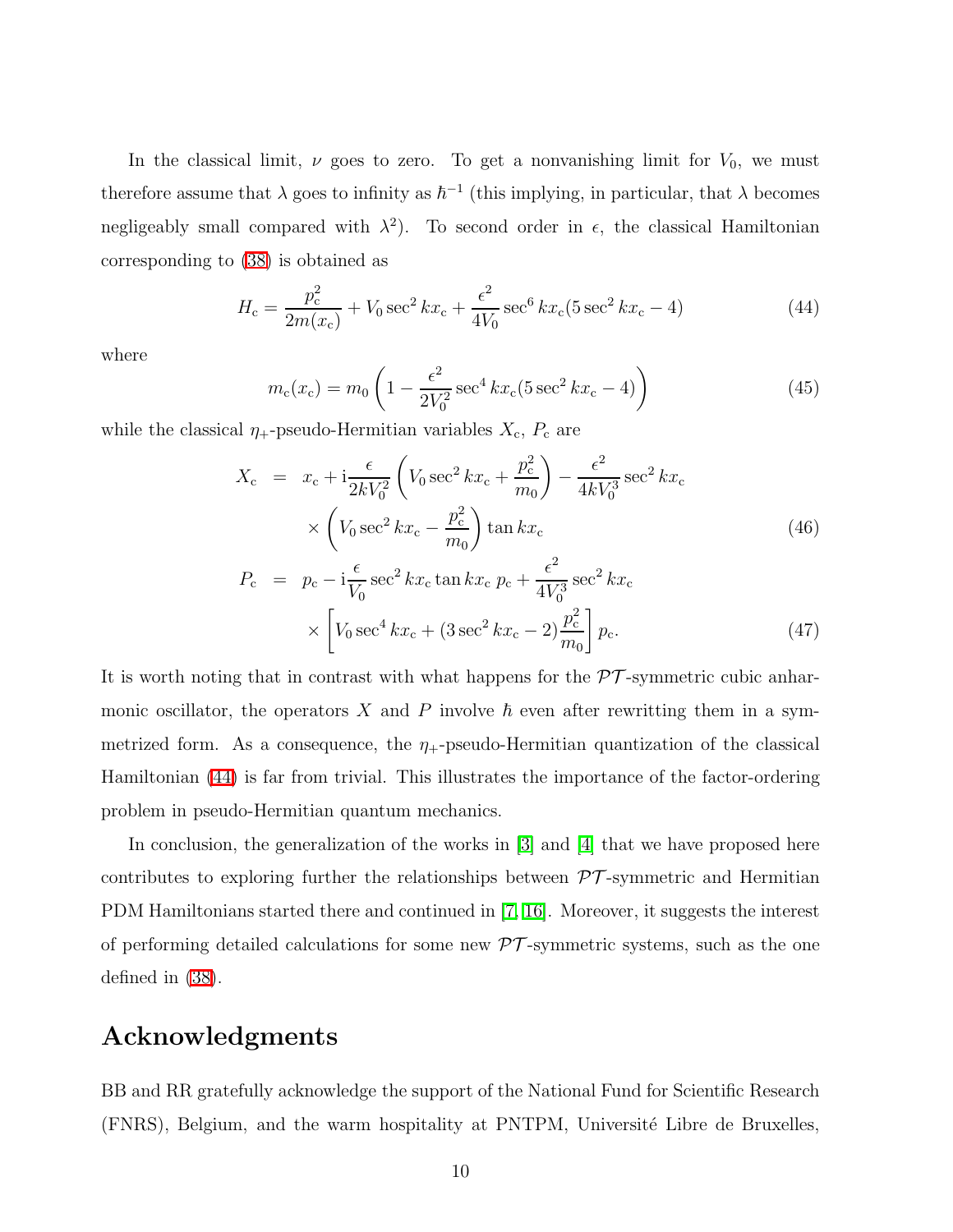In the classical limit,  $\nu$  goes to zero. To get a nonvanishing limit for  $V_0$ , we must therefore assume that  $\lambda$  goes to infinity as  $\hbar^{-1}$  (this implying, in particular, that  $\lambda$  becomes negligeably small compared with  $\lambda^2$ ). To second order in  $\epsilon$ , the classical Hamiltonian corresponding to [\(38\)](#page-8-0) is obtained as

$$
H_{\rm c} = \frac{p_{\rm c}^2}{2m(x_{\rm c})} + V_0 \sec^2 kx_{\rm c} + \frac{\epsilon^2}{4V_0} \sec^6 kx_{\rm c}(5\sec^2 kx_{\rm c} - 4)
$$
 (44)

<span id="page-9-0"></span>where

$$
m_{\rm c}(x_{\rm c}) = m_0 \left( 1 - \frac{\epsilon^2}{2V_0^2} \sec^4 k x_{\rm c} (5 \sec^2 k x_{\rm c} - 4) \right) \tag{45}
$$

while the classical  $\eta_+$ -pseudo-Hermitian variables  $X_c$ ,  $P_c$  are

$$
X_{\rm c} = x_{\rm c} + \mathrm{i} \frac{\epsilon}{2kV_0^2} \left( V_0 \sec^2 k x_{\rm c} + \frac{p_{\rm c}^2}{m_0} \right) - \frac{\epsilon^2}{4kV_0^3} \sec^2 k x_{\rm c}
$$

$$
\times \left( V_0 \sec^2 k x_{\rm c} - \frac{p_{\rm c}^2}{m_0} \right) \tan k x_{\rm c}
$$
(46)

$$
P_{\rm c} = p_{\rm c} - i \frac{\epsilon}{V_0} \sec^2 k x_{\rm c} \tan k x_{\rm c} \, p_{\rm c} + \frac{\epsilon^2}{4V_0^3} \sec^2 k x_{\rm c}
$$

$$
\times \left[ V_0 \sec^4 k x_{\rm c} + (3 \sec^2 k x_{\rm c} - 2) \frac{p_{\rm c}^2}{m_0} \right] p_{\rm c}.
$$
(47)

It is worth noting that in contrast with what happens for the  $\mathcal{PT}$ -symmetric cubic anharmonic oscillator, the operators X and P involve  $\hbar$  even after rewritting them in a symmetrized form. As a consequence, the  $\eta_{+}$ -pseudo-Hermitian quantization of the classical Hamiltonian [\(44\)](#page-9-0) is far from trivial. This illustrates the importance of the factor-ordering problem in pseudo-Hermitian quantum mechanics.

In conclusion, the generalization of the works in [\[3\]](#page-11-2) and [\[4\]](#page-11-3) that we have proposed here contributes to exploring further the relationships between  $\mathcal{PT}$ -symmetric and Hermitian PDM Hamiltonians started there and continued in [\[7,](#page-11-6) [16\]](#page-12-0). Moreover, it suggests the interest of performing detailed calculations for some new  $\mathcal{PT}$ -symmetric systems, such as the one defined in [\(38\)](#page-8-0).

## Acknowledgments

BB and RR gratefully acknowledge the support of the National Fund for Scientific Research (FNRS), Belgium, and the warm hospitality at PNTPM, Université Libre de Bruxelles,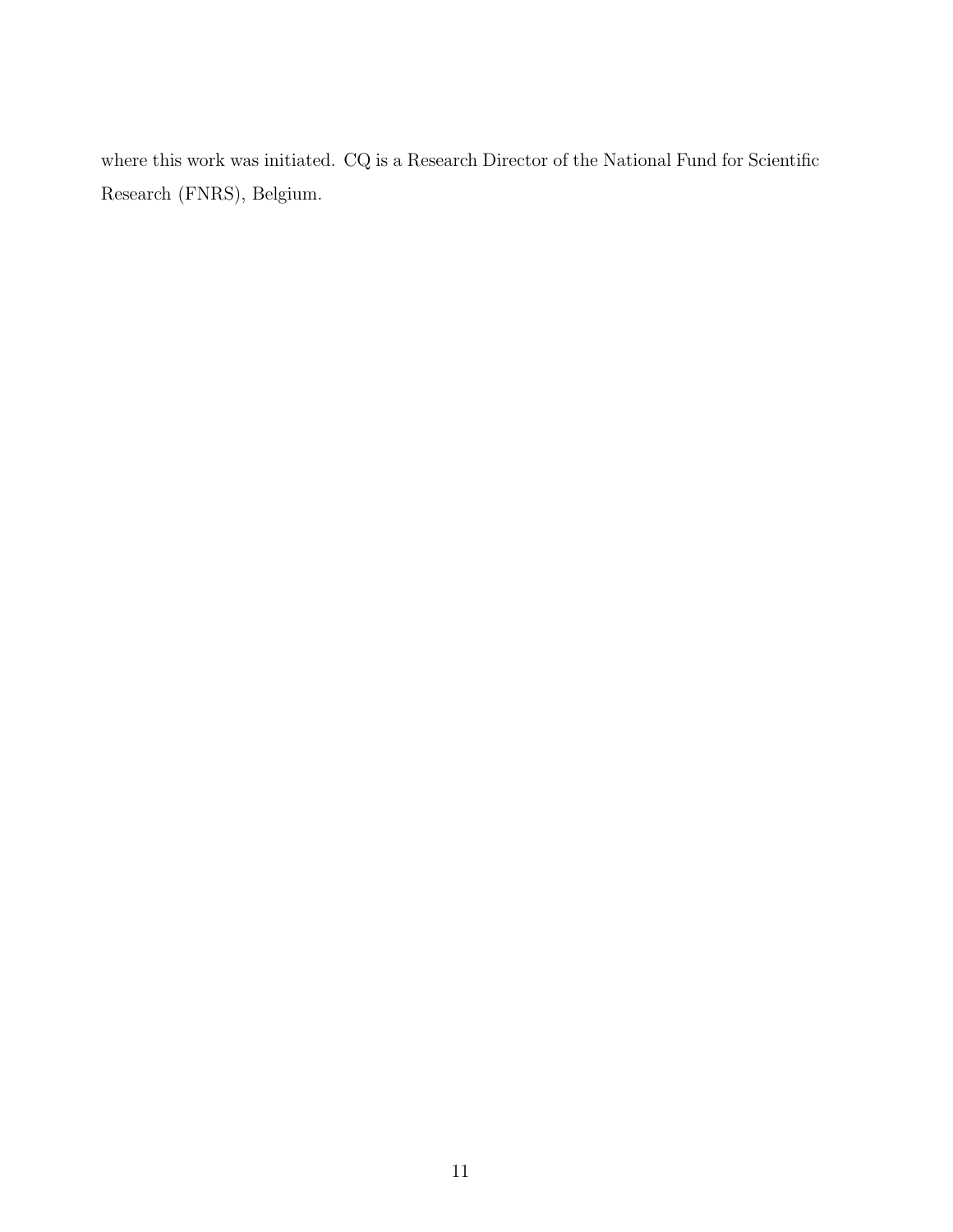where this work was initiated.  $\rm{CQ}$  is a Research Director of the National Fund for Scientific Research (FNRS), Belgium.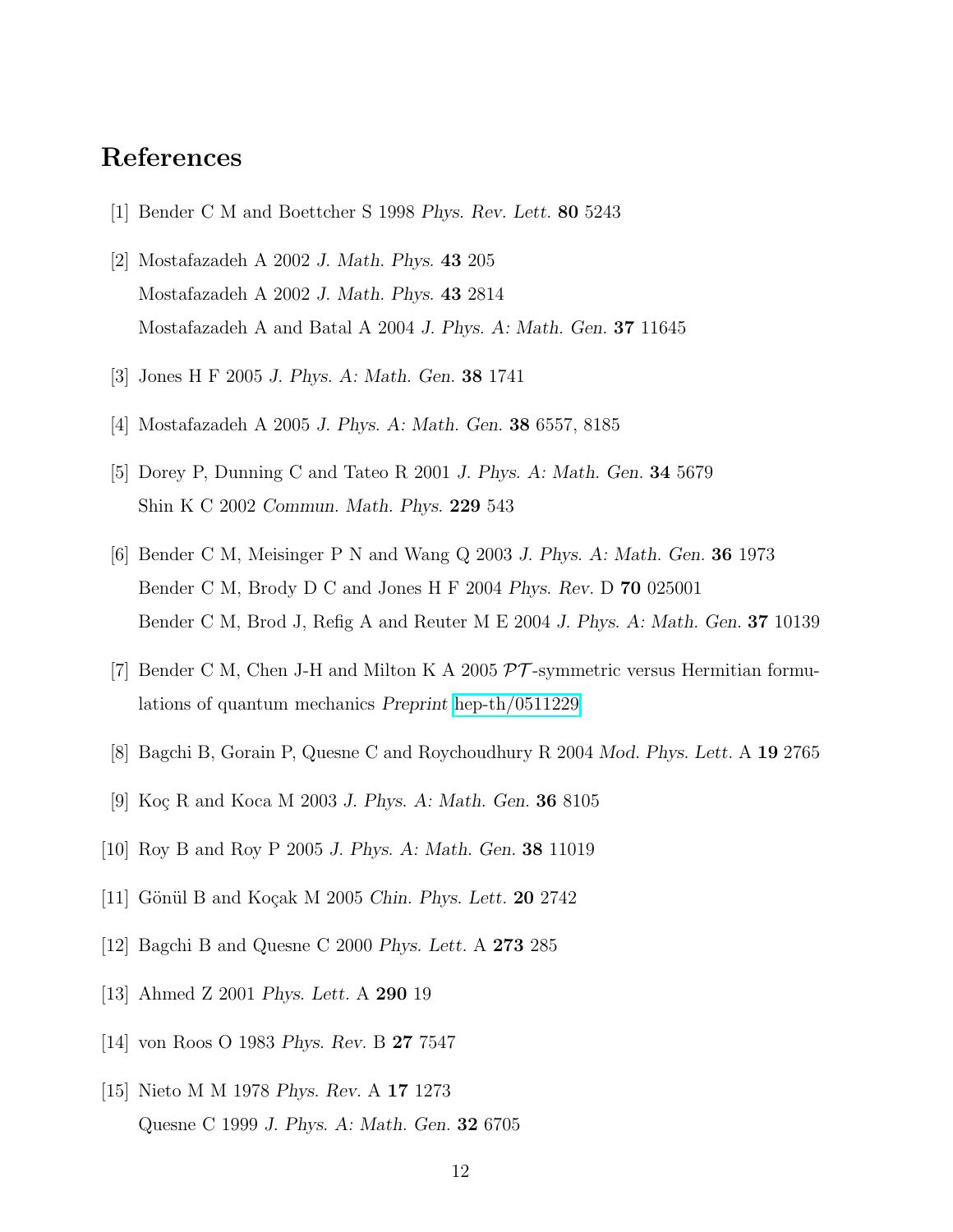## <span id="page-11-0"></span>References

- <span id="page-11-1"></span>[1] Bender C M and Boettcher S 1998 *Phys. Rev. Lett.* 80 5243
- [2] Mostafazadeh A 2002 *J. Math. Phys.* 43 205 Mostafazadeh A 2002 *J. Math. Phys.* 43 2814 Mostafazadeh A and Batal A 2004 *J. Phys. A: Math. Gen.* 37 11645
- <span id="page-11-3"></span><span id="page-11-2"></span>[3] Jones H F 2005 *J. Phys. A: Math. Gen.* 38 1741
- <span id="page-11-4"></span>[4] Mostafazadeh A 2005 *J. Phys. A: Math. Gen.* 38 6557, 8185
- <span id="page-11-5"></span>[5] Dorey P, Dunning C and Tateo R 2001 *J. Phys. A: Math. Gen.* 34 5679 Shin K C 2002 *Commun. Math. Phys.* 229 543
- [6] Bender C M, Meisinger P N and Wang Q 2003 *J. Phys. A: Math. Gen.* 36 1973 Bender C M, Brody D C and Jones H F 2004 *Phys. Rev.* D 70 025001 Bender C M, Brod J, Refig A and Reuter M E 2004 *J. Phys. A: Math. Gen.* 37 10139
- <span id="page-11-7"></span><span id="page-11-6"></span>[7] Bender C M, Chen J-H and Milton K A 2005  $\mathcal{PT}$ -symmetric versus Hermitian formulations of quantum mechanics *Preprint* [hep-th/0511229](http://arxiv.org/abs/hep-th/0511229)
- <span id="page-11-8"></span>[8] Bagchi B, Gorain P, Quesne C and Roychoudhury R 2004 *Mod. Phys. Lett.* A 19 2765
- <span id="page-11-9"></span>[9] Koç R and Koca M 2003 *J. Phys. A: Math. Gen.* **36** 8105
- <span id="page-11-10"></span>[10] Roy B and Roy P 2005 *J. Phys. A: Math. Gen.* 38 11019
- <span id="page-11-11"></span>[11] Gönül B and Koçak M 2005 *Chin. Phys. Lett.* **20** 2742
- <span id="page-11-12"></span>[12] Bagchi B and Quesne C 2000 *Phys. Lett.* A 273 285
- <span id="page-11-13"></span>[13] Ahmed Z 2001 *Phys. Lett.* A 290 19
- <span id="page-11-14"></span>[14] von Roos O 1983 *Phys. Rev.* B 27 7547
- [15] Nieto M M 1978 *Phys. Rev.* A 17 1273 Quesne C 1999 *J. Phys. A: Math. Gen.* 32 6705